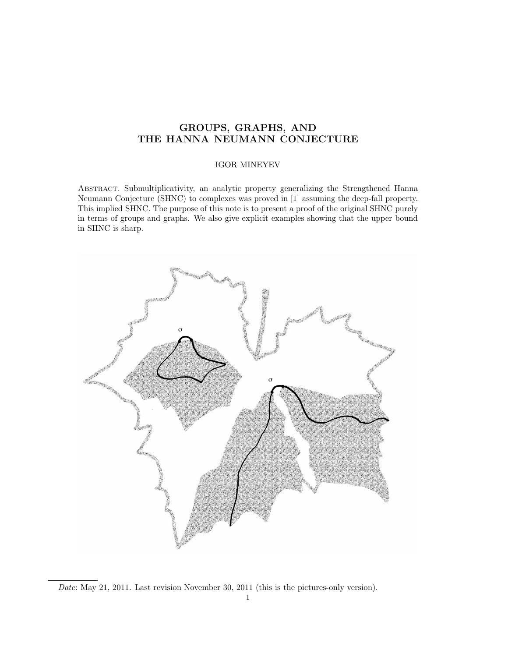## GROUPS, GRAPHS, AND THE HANNA NEUMANN CONJECTURE

## IGOR MINEYEV

Abstract. Submultiplicativity, an analytic property generalizing the Strengthened Hanna Neumann Conjecture (SHNC) to complexes was proved in [1] assuming the deep-fall property. This implied SHNC. The purpose of this note is to present a proof of the original SHNC purely in terms of groups and graphs. We also give explicit examples showing that the upper bound in SHNC is sharp.



Date: May 21, 2011. Last revision November 30, 2011 (this is the pictures-only version).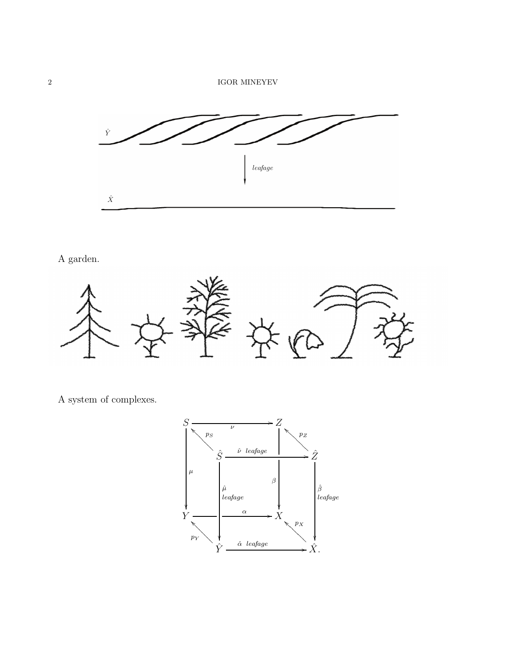

A garden.



A system of complexes.